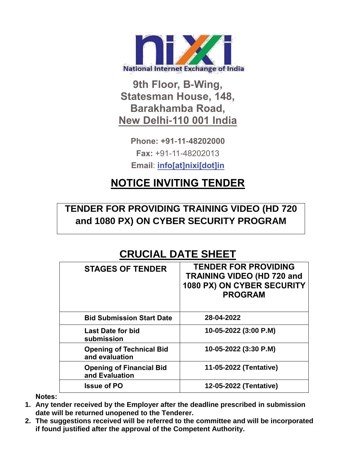

**9th Floor, B-Wing, Statesman House, 148, Barakhamba Road, New Delhi-110 001 India**

> **Phone: +91-11-48202000 Fax:** +91-11-48202013 **Email**: **[info\[at\]nixi\[dot\]in](mailto:info[at]nixi[dot]in)**

# **NOTICE INVITING TENDER**

## **TENDER FOR PROVIDING TRAINING VIDEO (HD 720 and 1080 PX) ON CYBER SECURITY PROGRAM**

# **CRUCIAL DATE SHEET**

| <b>STAGES OF TENDER</b>                           | <b>TENDER FOR PROVIDING</b><br><b>TRAINING VIDEO (HD 720 and</b><br>1080 PX) ON CYBER SECURITY<br><b>PROGRAM</b> |
|---------------------------------------------------|------------------------------------------------------------------------------------------------------------------|
| <b>Bid Submission Start Date</b>                  | 28-04-2022                                                                                                       |
| <b>Last Date for bid</b><br>submission            | 10-05-2022 (3:00 P.M)                                                                                            |
| <b>Opening of Technical Bid</b><br>and evaluation | 10-05-2022 (3:30 P.M)                                                                                            |
| <b>Opening of Financial Bid</b><br>and Evaluation | 11-05-2022 (Tentative)                                                                                           |
| <b>Issue of PO</b>                                | 12-05-2022 (Tentative)                                                                                           |

**Notes:**

- **1. Any tender received by the Employer after the deadline prescribed in submission date will be returned unopened to the Tenderer.**
- **2. The suggestions received will be referred to the committee and will be incorporated if found justified after the approval of the Competent Authority.**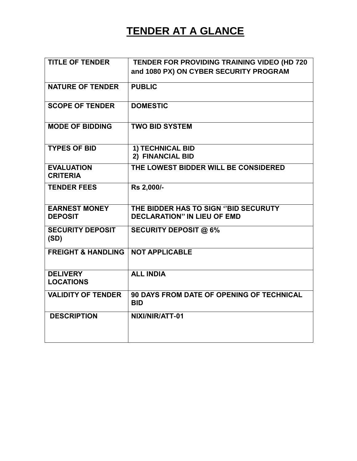# **TENDER AT A GLANCE**

| <b>TITLE OF TENDER</b>                 | TENDER FOR PROVIDING TRAINING VIDEO (HD 720                                |
|----------------------------------------|----------------------------------------------------------------------------|
|                                        | and 1080 PX) ON CYBER SECURITY PROGRAM                                     |
| <b>NATURE OF TENDER</b>                | <b>PUBLIC</b>                                                              |
| <b>SCOPE OF TENDER</b>                 | <b>DOMESTIC</b>                                                            |
| <b>MODE OF BIDDING</b>                 | <b>TWO BID SYSTEM</b>                                                      |
| <b>TYPES OF BID</b>                    | <b>1) TECHNICAL BID</b><br>2) FINANCIAL BID                                |
| <b>EVALUATION</b><br><b>CRITERIA</b>   | THE LOWEST BIDDER WILL BE CONSIDERED                                       |
| <b>TENDER FEES</b>                     | Rs 2,000/-                                                                 |
| <b>EARNEST MONEY</b><br><b>DEPOSIT</b> | THE BIDDER HAS TO SIGN "BID SECURUTY<br><b>DECLARATION" IN LIEU OF EMD</b> |
| <b>SECURITY DEPOSIT</b><br>(SD)        | <b>SECURITY DEPOSIT @ 6%</b>                                               |
| <b>FREIGHT &amp; HANDLING</b>          | <b>NOT APPLICABLE</b>                                                      |
| <b>DELIVERY</b><br><b>LOCATIONS</b>    | <b>ALL INDIA</b>                                                           |
| <b>VALIDITY OF TENDER</b>              | 90 DAYS FROM DATE OF OPENING OF TECHNICAL<br><b>BID</b>                    |
| <b>DESCRIPTION</b>                     | NIXI/NIR/ATT-01                                                            |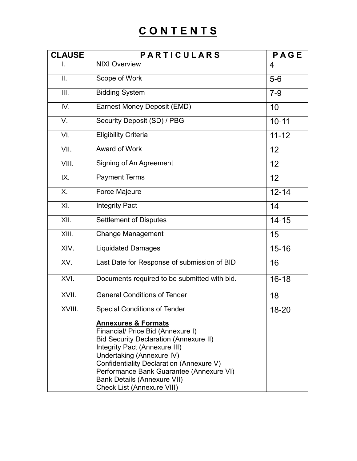# **C O N T E N T S**

| <b>CLAUSE</b> | <b>PARTICULARS</b>                                                                                                                                                                                                                                                                                                                                    | PAGE      |
|---------------|-------------------------------------------------------------------------------------------------------------------------------------------------------------------------------------------------------------------------------------------------------------------------------------------------------------------------------------------------------|-----------|
| I.            | <b>NIXI Overview</b>                                                                                                                                                                                                                                                                                                                                  | 4         |
| ΙΙ.           | Scope of Work                                                                                                                                                                                                                                                                                                                                         | $5-6$     |
| III.          | <b>Bidding System</b>                                                                                                                                                                                                                                                                                                                                 | $7 - 9$   |
| IV.           | Earnest Money Deposit (EMD)                                                                                                                                                                                                                                                                                                                           | 10        |
| V.            | Security Deposit (SD) / PBG                                                                                                                                                                                                                                                                                                                           | $10 - 11$ |
| VI.           | <b>Eligibility Criteria</b>                                                                                                                                                                                                                                                                                                                           | $11 - 12$ |
| VII.          | <b>Award of Work</b>                                                                                                                                                                                                                                                                                                                                  | 12        |
| VIII.         | Signing of An Agreement                                                                                                                                                                                                                                                                                                                               | 12        |
| IX.           | <b>Payment Terms</b>                                                                                                                                                                                                                                                                                                                                  | 12        |
| Χ.            | <b>Force Majeure</b>                                                                                                                                                                                                                                                                                                                                  | $12 - 14$ |
| XI.           | <b>Integrity Pact</b>                                                                                                                                                                                                                                                                                                                                 | 14        |
| XII.          | <b>Settlement of Disputes</b>                                                                                                                                                                                                                                                                                                                         | $14 - 15$ |
| XIII.         | <b>Change Management</b>                                                                                                                                                                                                                                                                                                                              | 15        |
| XIV.          | <b>Liquidated Damages</b>                                                                                                                                                                                                                                                                                                                             | $15 - 16$ |
| XV.           | Last Date for Response of submission of BID                                                                                                                                                                                                                                                                                                           | 16        |
| XVI.          | Documents required to be submitted with bid.                                                                                                                                                                                                                                                                                                          | $16 - 18$ |
| XVII.         | <b>General Conditions of Tender</b>                                                                                                                                                                                                                                                                                                                   | 18        |
| XVIII.        | <b>Special Conditions of Tender</b>                                                                                                                                                                                                                                                                                                                   | 18-20     |
|               | <b>Annexures &amp; Formats</b><br>Financial/ Price Bid (Annexure I)<br><b>Bid Security Declaration (Annexure II)</b><br>Integrity Pact (Annexure III)<br>Undertaking (Annexure IV)<br>Confidentiality Declaration (Annexure V)<br>Performance Bank Guarantee (Annexure VI)<br><b>Bank Details (Annexure VII)</b><br><b>Check List (Annexure VIII)</b> |           |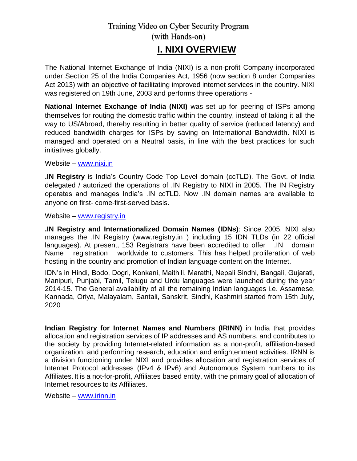**I. NIXI OVERVIEW**

The National Internet Exchange of India (NIXI) is a [non-profit C](https://en.wikipedia.org/wiki/Non-profit)ompany incorporated under Section 25 of the India Companies Act, 1956 (now section 8 under [Companies](https://en.wikipedia.org/wiki/Companies_Act_2013)  [Act 2013\)](https://en.wikipedia.org/wiki/Companies_Act_2013) with an objective of facilitating improved internet services in the country. NIXI was registered on 19th June, 2003 and performs three operations -

**National Internet Exchange of India (NIXI)** was set up for peering of ISPs among themselves for routing the domestic traffic within the country, instead of taking it all the way to US/Abroad, thereby resulting in better quality of service (reduced latency) and reduced bandwidth charges for ISPs by saving on International Bandwidth. NIXI is managed and operated on a Neutral basis, in line with the best practices for such initiatives globally.

Website – [www.nixi.in](http://www.nixi.in/)

**.IN Registry** is India"s Country Code Top Level domain (ccTLD). The Govt. of India delegated / autorized the operations of .IN Registry to NIXI in 2005. The IN Registry operates and manages India"s .IN ccTLD. Now .IN domain names are available to anyone on first- come-first-served basis.

Website – [www.registry.in](http://www.registry.in/)

**.IN Registry and Internationalized Domain Names (IDNs)**: Since 2005, NIXI also manages the .IN Registry [\(www.registry.in \)](http://www.registry.in/) including 15 IDN TLDs (in 22 official languages). At present, 153 Registrars have been accredited to offer .IN domain Name registration worldwide to customers. This has helped proliferation of web hosting in the country and promotion of Indian language content on the Internet.

IDN"s in Hindi, Bodo, Dogri, Konkani, Maithili, Marathi, Nepali Sindhi, Bangali, Gujarati, Manipuri, Punjabi, Tamil, Telugu and Urdu languages were launched during the year 2014-15. The General availability of all the remaining Indian languages i.e. Assamese, Kannada, Oriya, Malayalam, Santali, Sanskrit, Sindhi, Kashmiri started from 15th July, 2020

**Indian Registry for Internet Names and Numbers (IRINN)** in India that provides allocation and registration services of IP addresses and AS numbers, and contributes to the society by providing Internet-related information as a non-profit, affiliation-based organization, and performing research, education and enlightenment activities. IRNN is a division functioning under NIXI and provides allocation and registration services of Internet Protocol addresses (IPv4 & IPv6) and Autonomous System numbers to its Affiliates. It is a not-for-profit, Affiliates based entity, with the primary goal of allocation of Internet resources to its Affiliates.

Website – [www.irinn.in](http://www.irinn.in/)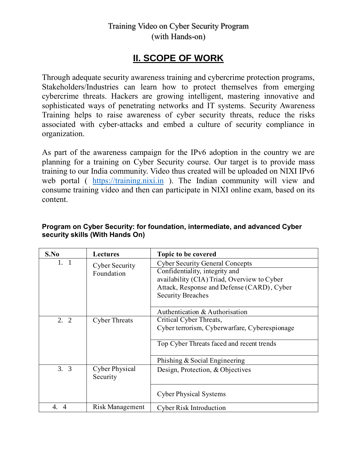## **II. SCOPE OF WORK**

Through adequate security awareness training and cybercrime protection programs, Stakeholders/Industries can learn how to protect themselves from emerging cybercrime threats. Hackers are growing intelligent, mastering innovative and sophisticated ways of penetrating networks and IT systems. Security Awareness Training helps to raise awareness of cyber security threats, reduce the risks associated with cyber-attacks and embed a culture of security compliance in organization.

As part of the awareness campaign for the IPv6 adoption in the country we are planning for a training on Cyber Security course. Our target is to provide mass training to our India community. Video thus created will be uploaded on NIXI IPv6 web portal ( [https://training.nixi.in](https://training.nixi.in/) ). The Indian community will view and consume training video and then can participate in NIXI online exam, based on its content.

| S.No                 | <b>Lectures</b>                   | Topic to be covered                                                      |  |
|----------------------|-----------------------------------|--------------------------------------------------------------------------|--|
| 1. 1                 | <b>Cyber Security</b>             | <b>Cyber Security General Concepts</b><br>Confidentiality, integrity and |  |
|                      | Foundation                        | availability (CIA) Triad, Overview to Cyber                              |  |
|                      |                                   | Attack, Response and Defense (CARD), Cyber                               |  |
|                      |                                   | <b>Security Breaches</b>                                                 |  |
|                      |                                   | Authentication & Authorisation                                           |  |
| 2. 2                 | <b>Cyber Threats</b>              | Critical Cyber Threats,                                                  |  |
|                      |                                   | Cyber terrorism, Cyberwarfare, Cyberespionage                            |  |
|                      |                                   | Top Cyber Threats faced and recent trends                                |  |
|                      |                                   | Phishing & Social Engineering                                            |  |
| 3.3                  | <b>Cyber Physical</b><br>Security | Design, Protection, & Objectives                                         |  |
|                      |                                   | <b>Cyber Physical Systems</b>                                            |  |
| 4.<br>$\overline{A}$ | Risk Management                   | <b>Cyber Risk Introduction</b>                                           |  |

#### **Program on Cyber Security: for foundation, intermediate, and advanced Cyber security skills (With Hands On)**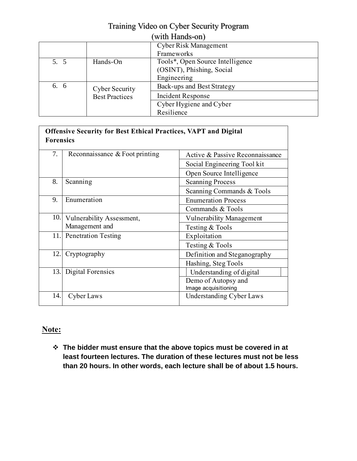|      | $m_{\rm H}$ response $m_{\rm H}$ |                                  |  |
|------|----------------------------------|----------------------------------|--|
|      |                                  | Cyber Risk Management            |  |
|      |                                  | Frameworks                       |  |
| 5.5  | Hands-On                         | Tools*, Open Source Intelligence |  |
|      |                                  | (OSINT), Phishing, Social        |  |
|      |                                  | Engineering                      |  |
| 6. 6 | <b>Cyber Security</b>            | Back-ups and Best Strategy       |  |
|      | <b>Best Practices</b>            | <b>Incident Response</b>         |  |
|      |                                  | Cyber Hygiene and Cyber          |  |
|      |                                  | Resilience                       |  |

#### **Offensive Security for Best Ethical Practices, VAPT and Digital Forensics** 7. Reconnaissance & Foot printing Active & Passive Reconnaissance Social Engineering Tool kit Open Source Intelligence 8. Scanning Scanning Process Scanning Commands & Tools 9. Enumeration Enumeration Process Commands & Tools 10. Vulnerability Assessment, Management and 11. Penetration Testing Exploitation Vulnerability Management Testing & Tools Testing & Tools 12. Cryptography Definition and Steganography Hashing, Steg Tools 13. Digital Forensics Understanding of digital Demo of Autopsy and Image acquisitioning 14. Cyber Laws 4 Cyber Laws Understanding Cyber Laws

### **Note:**

 **The bidder must ensure that the above topics must be covered in at least fourteen lectures. The duration of these lectures must not be less than 20 hours. In other words, each lecture shall be of about 1.5 hours.**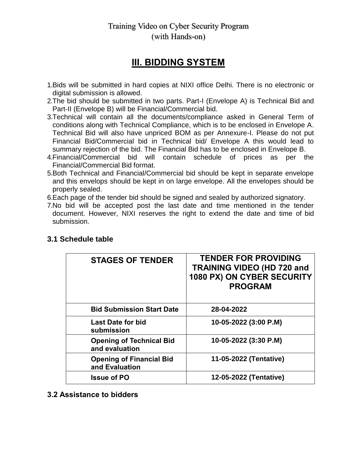## **III. BIDDING SYSTEM**

- 1.Bids will be submitted in hard copies at NIXI office Delhi. There is no electronic or digital submission is allowed.
- 2.The bid should be submitted in two parts. Part-I (Envelope A) is Technical Bid and Part-II (Envelope B) will be Financial/Commercial bid.
- 3.Technical will contain all the documents/compliance asked in General Term of conditions along with Technical Compliance, which is to be enclosed in Envelope A. Technical Bid will also have unpriced BOM as per Annexure-I. Please do not put Financial Bid/Commercial bid in Technical bid/ Envelope A this would lead to summary rejection of the bid. The Financial Bid has to be enclosed in Envelope B.
- 4.Financial/Commercial bid will contain schedule of prices as per the Financial/Commercial Bid format.
- 5.Both Technical and Financial/Commercial bid should be kept in separate envelope and this envelops should be kept in on large envelope. All the envelopes should be properly sealed.
- 6.Each page of the tender bid should be signed and sealed by authorized signatory.
- 7.No bid will be accepted post the last date and time mentioned in the tender document. However, NIXI reserves the right to extend the date and time of bid submission.

| <b>STAGES OF TENDER</b>                           | <b>TENDER FOR PROVIDING</b><br><b>TRAINING VIDEO (HD 720 and</b><br>1080 PX) ON CYBER SECURITY<br><b>PROGRAM</b> |
|---------------------------------------------------|------------------------------------------------------------------------------------------------------------------|
| <b>Bid Submission Start Date</b>                  | 28-04-2022                                                                                                       |
| <b>Last Date for bid</b><br>submission            | 10-05-2022 (3:00 P.M)                                                                                            |
| <b>Opening of Technical Bid</b><br>and evaluation | 10-05-2022 (3:30 P.M)                                                                                            |
| <b>Opening of Financial Bid</b><br>and Evaluation | 11-05-2022 (Tentative)                                                                                           |
| <b>Issue of PO</b>                                | 12-05-2022 (Tentative)                                                                                           |

#### **3.1 Schedule table**

**3.2 Assistance to bidders**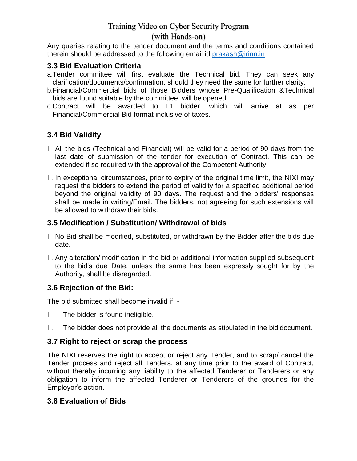### (with Hands-on)

Any queries relating to the tender document and the terms and conditions contained therein should be addressed to the following email id prakash@irinn.in

#### **3.3 Bid Evaluation Criteria**

- a.Tender committee will first evaluate the Technical bid. They can seek any clarification/documents/confirmation, should they need the same for further clarity.
- b.Financial/Commercial bids of those Bidders whose Pre-Qualification &Technical bids are found suitable by the committee, will be opened.
- c.Contract will be awarded to L1 bidder, which will arrive at as per Financial/Commercial Bid format inclusive of taxes.

### **3.4 Bid Validity**

- I. All the bids (Technical and Financial) will be valid for a period of 90 days from the last date of submission of the tender for execution of Contract. This can be extended if so required with the approval of the Competent Authority.
- II. In exceptional circumstances, prior to expiry of the original time limit, the NIXI may request the bidders to extend the period of validity for a specified additional period beyond the original validity of 90 days. The request and the bidders' responses shall be made in writing/Email. The bidders, not agreeing for such extensions will be allowed to withdraw their bids.

### **3.5 Modification / Substitution/ Withdrawal of bids**

- I. No Bid shall be modified, substituted, or withdrawn by the Bidder after the bids due date.
- II. Any alteration/ modification in the bid or additional information supplied subsequent to the bid's due Date, unless the same has been expressly sought for by the Authority, shall be disregarded.

#### **3.6 Rejection of the Bid:**

The bid submitted shall become invalid if: ‐

- I. The bidder is found ineligible.
- II. The bidder does not provide all the documents as stipulated in the bid document.

#### **3.7 Right to reject or scrap the process**

The NIXI reserves the right to accept or reject any Tender, and to scrap/ cancel the Tender process and reject all Tenders, at any time prior to the award of Contract, without thereby incurring any liability to the affected Tenderer or Tenderers or any obligation to inform the affected Tenderer or Tenderers of the grounds for the Employer"s action.

#### **3.8 Evaluation of Bids**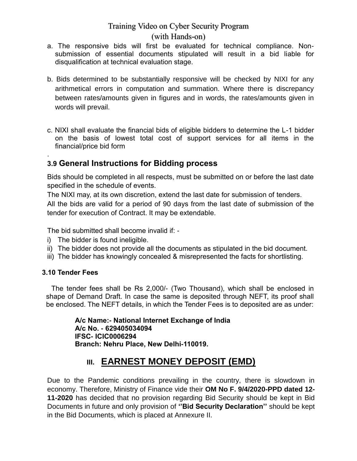#### (with Hands-on)

- a. The responsive bids will first be evaluated for technical compliance. Nonsubmission of essential documents stipulated will result in a bid liable for disqualification at technical evaluation stage.
- b. Bids determined to be substantially responsive will be checked by NIXI for any arithmetical errors in computation and summation. Where there is discrepancy between rates/amounts given in figures and in words, the rates/amounts given in words will prevail.
- c. NIXI shall evaluate the financial bids of eligible bidders to determine the L-1 bidder on the basis of lowest total cost of support services for all items in the financial/price bid form

#### . **3.9 General Instructions for Bidding process**

Bids should be completed in all respects, must be submitted on or before the last date specified in the schedule of events.

The NIXI may, at its own discretion, extend the last date for submission of tenders.

All the bids are valid for a period of 90 days from the last date of submission of the tender for execution of Contract. It may be extendable.

The bid submitted shall become invalid if: -

- i) The bidder is found ineligible.
- ii) The bidder does not provide all the documents as stipulated in the bid document.
- iii) The bidder has knowingly concealed & misrepresented the facts for shortlisting.

#### **3.10 Tender Fees**

The tender fees shall be Rs 2,000/- (Two Thousand), which shall be enclosed in shape of Demand Draft. In case the same is deposited through NEFT, its proof shall be enclosed. The NEFT details, in which the Tender Fees is to deposited are as under:

> **A/c Name:- National Internet Exchange of India A/c No. - 629405034094 IFSC- ICIC0006294 Branch: Nehru Place, New Delhi-110019.**

## **III. EARNEST MONEY DEPOSIT (EMD)**

Due to the Pandemic conditions prevailing in the country, there is slowdown in economy. Therefore, Ministry of Finance vide their **OM No F. 9/4/2020-PPD dated 12- 11-2020** has decided that no provision regarding Bid Security should be kept in Bid Documents in future and only provision of **""Bid Security Declaration""** should be kept in the Bid Documents, which is placed at Annexure II.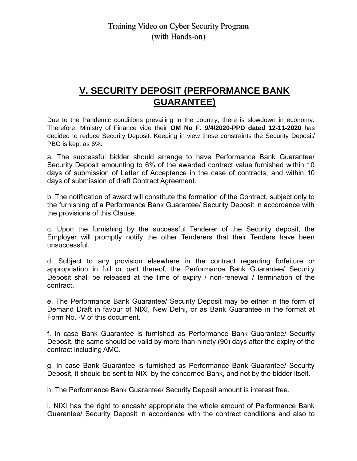## **V. SECURITY DEPOSIT (PERFORMANCE BANK GUARANTEE)**

Due to the Pandemic conditions prevailing in the country, there is slowdown in economy. Therefore, Ministry of Finance vide their **OM No F. 9/4/2020-PPD dated 12-11-2020** has decided to reduce Security Deposit. Keeping in view these constraints the Security Deposit/ PBG is kept as 6%.

a. The successful bidder should arrange to have Performance Bank Guarantee/ Security Deposit amounting to 6% of the awarded contract value furnished within 10 days of submission of Letter of Acceptance in the case of contracts, and within 10 days of submission of draft Contract Agreement.

b. The notification of award will constitute the formation of the Contract, subject only to the furnishing of a Performance Bank Guarantee/ Security Deposit in accordance with the provisions of this Clause.

c. Upon the furnishing by the successful Tenderer of the Security deposit, the Employer will promptly notify the other Tenderers that their Tenders have been unsuccessful.

d. Subject to any provision elsewhere in the contract regarding forfeiture or appropriation in full or part thereof, the Performance Bank Guarantee/ Security Deposit shall be released at the time of expiry / non-renewal / termination of the contract.

e. The Performance Bank Guarantee/ Security Deposit may be either in the form of Demand Draft in favour of NIXI, New Delhi, or as Bank Guarantee in the format at Form No. -V of this document.

f. In case Bank Guarantee is furnished as Performance Bank Guarantee/ Security Deposit, the same should be valid by more than ninety (90) days after the expiry of the contract including AMC.

g. In case Bank Guarantee is furnished as Performance Bank Guarantee/ Security Deposit, it should be sent to NIXI by the concerned Bank, and not by the bidder itself.

h. The Performance Bank Guarantee/ Security Deposit amount is interest free.

i. NIXI has the right to encash/ appropriate the whole amount of Performance Bank Guarantee/ Security Deposit in accordance with the contract conditions and also to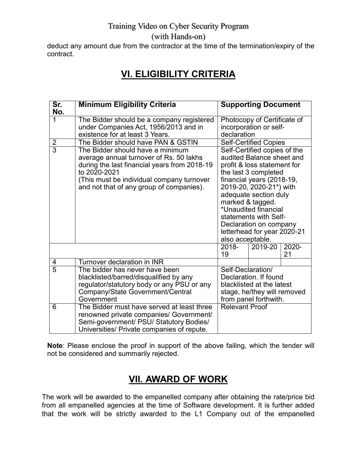(with Hands-on)

deduct any amount due from the contractor at the time of the termination/expiry of the contract.

## **VI. ELIGIBILITY CRITERIA**

| Sr.<br>No.     | <b>Minimum Eligibility Criteria</b>                                                                                                                                                                                                  |                       | <b>Supporting Document</b>                                                                                                                                                                                                                                                                                                      |             |
|----------------|--------------------------------------------------------------------------------------------------------------------------------------------------------------------------------------------------------------------------------------|-----------------------|---------------------------------------------------------------------------------------------------------------------------------------------------------------------------------------------------------------------------------------------------------------------------------------------------------------------------------|-------------|
| $\overline{1}$ | The Bidder should be a company registered<br>under Companies Act, 1956/2013 and in<br>existence for at least 3 Years.                                                                                                                | declaration           | Photocopy of Certificate of<br>incorporation or self-                                                                                                                                                                                                                                                                           |             |
| $\frac{2}{3}$  | The Bidder should have PAN & GSTIN                                                                                                                                                                                                   |                       | Self-Certified Copies                                                                                                                                                                                                                                                                                                           |             |
|                | The Bidder should have a minimum<br>average annual turnover of Rs. 50 lakhs<br>during the last financial years from 2018-19<br>to 2020-2021<br>(This must be individual company turnover<br>and not that of any group of companies). | also acceptable.      | Self-Certified copies of the<br>audited Balance sheet and<br>profit & loss statement for<br>the last 3 completed<br>financial years (2018-19,<br>2019-20, 2020-21*) with<br>adequate section duly<br>marked & tagged.<br>*Unaudited financial<br>statements with Self-<br>Declaration on company<br>letterhead for year 2020-21 |             |
|                |                                                                                                                                                                                                                                      | 2018-<br>19           | 2019-20                                                                                                                                                                                                                                                                                                                         | 2020-<br>21 |
| 4              | Turnover declaration in INR                                                                                                                                                                                                          |                       |                                                                                                                                                                                                                                                                                                                                 |             |
| $\overline{5}$ | The bidder has never have been<br>blacklisted/barred/disqualified by any<br>regulator/statutory body or any PSU or any<br>Company/State Government/Central<br>Government                                                             | Self-Declaration/     | Declaration. If found<br>blacklisted at the latest<br>stage, he/they will removed<br>from panel forthwith.                                                                                                                                                                                                                      |             |
| 6              | The Bidder must have served at least three<br>renowned private companies/ Government/<br>Semi-government/ PSU/ Statutory Bodies/<br>Universities/ Private companies of repute.                                                       | <b>Relevant Proof</b> |                                                                                                                                                                                                                                                                                                                                 |             |

**Note**: Please enclose the proof in support of the above failing, which the tender will not be considered and summarily rejected.

## **VII. AWARD OF WORK**

The work will be awarded to the empanelled company after obtaining the rate/price bid from all empanelled agencies at the time of Software development. It is further added that the work will be strictly awarded to the L1 Company out of the empanelled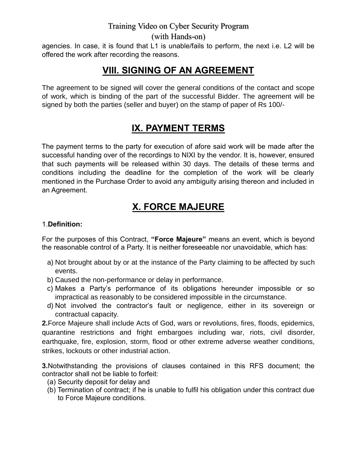(with Hands-on)

agencies. In case, it is found that L1 is unable/fails to perform, the next i.e. L2 will be offered the work after recording the reasons.

## **VIII. SIGNING OF AN AGREEMENT**

The agreement to be signed will cover the general conditions of the contact and scope of work, which is binding of the part of the successful Bidder. The agreement will be signed by both the parties (seller and buyer) on the stamp of paper of Rs 100/-

## **IX. PAYMENT TERMS**

The payment terms to the party for execution of afore said work will be made after the successful handing over of the recordings to NIXI by the vendor. It is, however, ensured that such payments will be released within 30 days. The details of these terms and conditions including the deadline for the completion of the work will be clearly mentioned in the Purchase Order to avoid any ambiguity arising thereon and included in an Agreement.

## **X. FORCE MAJEURE**

#### 1.**Definition:**

For the purposes of this Contract, **"Force Majeure"** means an event, which is beyond the reasonable control of a Party. It is neither foreseeable nor unavoidable, which has:

- a) Not brought about by or at the instance of the Party claiming to be affected by such events.
- b) Caused the non-performance or delay in performance.
- c) Makes a Party"s performance of its obligations hereunder impossible or so impractical as reasonably to be considered impossible in the circumstance.
- d) Not involved the contractor"s fault or negligence, either in its sovereign or contractual capacity.

**2.**Force Majeure shall include Acts of God, wars or revolutions, fires, floods, epidemics, quarantine restrictions and fright embargoes including war, riots, civil disorder, earthquake, fire, explosion, storm, flood or other extreme adverse weather conditions, strikes, lockouts or other industrial action.

**3.**Notwithstanding the provisions of clauses contained in this RFS document; the contractor shall not be liable to forfeit:

- (a) Security deposit for delay and
- (b) Termination of contract; if he is unable to fulfil his obligation under this contract due to Force Majeure conditions.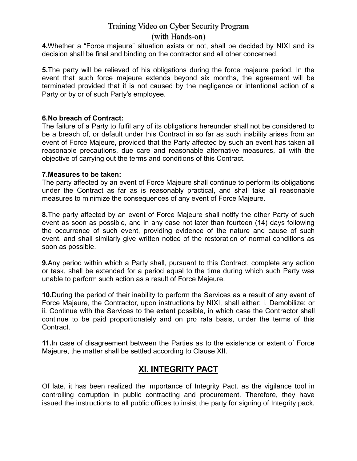#### (with Hands-on)

**4.**Whether a "Force majeure" situation exists or not, shall be decided by NIXI and its decision shall be final and binding on the contractor and all other concerned.

**5.**The party will be relieved of his obligations during the force majeure period. In the event that such force majeure extends beyond six months, the agreement will be terminated provided that it is not caused by the negligence or intentional action of a Party or by or of such Party"s employee.

#### **6.No breach of Contract:**

The failure of a Party to fulfil any of its obligations hereunder shall not be considered to be a breach of, or default under this Contract in so far as such inability arises from an event of Force Majeure, provided that the Party affected by such an event has taken all reasonable precautions, due care and reasonable alternative measures, all with the objective of carrying out the terms and conditions of this Contract.

#### **7.Measures to be taken:**

The party affected by an event of Force Majeure shall continue to perform its obligations under the Contract as far as is reasonably practical, and shall take all reasonable measures to minimize the consequences of any event of Force Majeure.

**8.**The party affected by an event of Force Majeure shall notify the other Party of such event as soon as possible, and in any case not later than fourteen (14) days following the occurrence of such event, providing evidence of the nature and cause of such event, and shall similarly give written notice of the restoration of normal conditions as soon as possible.

**9.**Any period within which a Party shall, pursuant to this Contract, complete any action or task, shall be extended for a period equal to the time during which such Party was unable to perform such action as a result of Force Majeure.

**10.**During the period of their inability to perform the Services as a result of any event of Force Majeure, the Contractor, upon instructions by NIXI, shall either: i. Demobilize; or ii. Continue with the Services to the extent possible, in which case the Contractor shall continue to be paid proportionately and on pro rata basis, under the terms of this Contract.

**11.**In case of disagreement between the Parties as to the existence or extent of Force Majeure, the matter shall be settled according to Clause XII.

### **XI. INTEGRITY PACT**

Of late, it has been realized the importance of Integrity Pact. as the vigilance tool in controlling corruption in public contracting and procurement. Therefore, they have issued the instructions to all public offices to insist the party for signing of Integrity pack,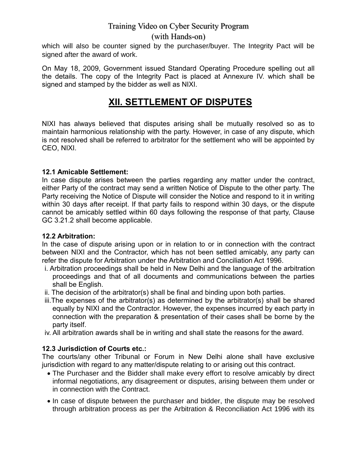#### (with Hands-on)

which will also be counter signed by the purchaser/buyer. The Integrity Pact will be signed after the award of work.

On May 18, 2009, Government issued Standard Operating Procedure spelling out all the details. The copy of the Integrity Pact is placed at Annexure IV. which shall be signed and stamped by the bidder as well as NIXI.

## **XII. SETTLEMENT OF DISPUTES**

NIXI has always believed that disputes arising shall be mutually resolved so as to maintain harmonious relationship with the party. However, in case of any dispute, which is not resolved shall be referred to arbitrator for the settlement who will be appointed by CEO, NIXI.

#### **12.1 Amicable Settlement:**

In case dispute arises between the parties regarding any matter under the contract, either Party of the contract may send a written Notice of Dispute to the other party. The Party receiving the Notice of Dispute will consider the Notice and respond to it in writing within 30 days after receipt. If that party fails to respond within 30 days, or the dispute cannot be amicably settled within 60 days following the response of that party, Clause GC 3.21.2 shall become applicable.

#### **12.2 Arbitration:**

In the case of dispute arising upon or in relation to or in connection with the contract between NIXI and the Contractor, which has not been settled amicably, any party can refer the dispute for Arbitration under the Arbitration and Conciliation Act 1996.

- i. Arbitration proceedings shall be held in New Delhi and the language of the arbitration proceedings and that of all documents and communications between the parties shall be English.
- ii. The decision of the arbitrator(s) shall be final and binding upon both parties.
- iii.The expenses of the arbitrator(s) as determined by the arbitrator(s) shall be shared equally by NIXI and the Contractor. However, the expenses incurred by each party in connection with the preparation & presentation of their cases shall be borne by the party itself.
- iv. All arbitration awards shall be in writing and shall state the reasons for the award.

#### **12.3 Jurisdiction of Courts etc.:**

The courts/any other Tribunal or Forum in New Delhi alone shall have exclusive jurisdiction with regard to any matter/dispute relating to or arising out this contract.

- The Purchaser and the Bidder shall make every effort to resolve amicably by direct informal negotiations, any disagreement or disputes, arising between them under or in connection with the Contract.
- In case of dispute between the purchaser and bidder, the dispute may be resolved through arbitration process as per the Arbitration & Reconciliation Act 1996 with its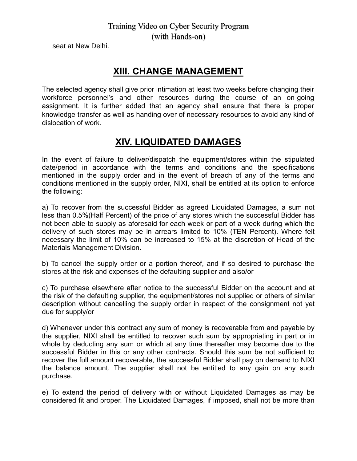seat at New Delhi.

## **XIII. CHANGE MANAGEMENT**

The selected agency shall give prior intimation at least two weeks before changing their workforce personnel"s and other resources during the course of an on-going assignment. It is further added that an agency shall ensure that there is proper knowledge transfer as well as handing over of necessary resources to avoid any kind of dislocation of work.

## **XIV. LIQUIDATED DAMAGES**

In the event of failure to deliver/dispatch the equipment/stores within the stipulated date/period in accordance with the terms and conditions and the specifications mentioned in the supply order and in the event of breach of any of the terms and conditions mentioned in the supply order, NIXI, shall be entitled at its option to enforce the following:

a) To recover from the successful Bidder as agreed Liquidated Damages, a sum not less than 0.5%(Half Percent) of the price of any stores which the successful Bidder has not been able to supply as aforesaid for each week or part of a week during which the delivery of such stores may be in arrears limited to 10% (TEN Percent). Where felt necessary the limit of 10% can be increased to 15% at the discretion of Head of the Materials Management Division.

b) To cancel the supply order or a portion thereof, and if so desired to purchase the stores at the risk and expenses of the defaulting supplier and also/or

c) To purchase elsewhere after notice to the successful Bidder on the account and at the risk of the defaulting supplier, the equipment/stores not supplied or others of similar description without cancelling the supply order in respect of the consignment not yet due for supply/or

d) Whenever under this contract any sum of money is recoverable from and payable by the supplier, NIXI shall be entitled to recover such sum by appropriating in part or in whole by deducting any sum or which at any time thereafter may become due to the successful Bidder in this or any other contracts. Should this sum be not sufficient to recover the full amount recoverable, the successful Bidder shall pay on demand to NIXI the balance amount. The supplier shall not be entitled to any gain on any such purchase.

e) To extend the period of delivery with or without Liquidated Damages as may be considered fit and proper. The Liquidated Damages, if imposed, shall not be more than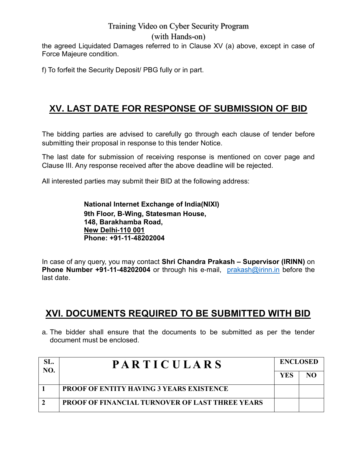(with Hands-on)

the agreed Liquidated Damages referred to in Clause XV (a) above, except in case of Force Majeure condition.

f) To forfeit the Security Deposit/ PBG fully or in part.

## **XV. LAST DATE FOR RESPONSE OF SUBMISSION OF BID**

The bidding parties are advised to carefully go through each clause of tender before submitting their proposal in response to this tender Notice.

The last date for submission of receiving response is mentioned on cover page and Clause III. Any response received after the above deadline will be rejected.

All interested parties may submit their BID at the following address:

**National Internet Exchange of India(NIXI) 9th Floor, B-Wing, Statesman House, 148, Barakhamba Road, New Delhi-110 001 Phone: +91-11-48202004**

In case of any query, you may contact **Shri Chandra Prakash – Supervisor (IRINN)** on **Phone Number +91-11-48202004** or through his e-mail, [prakash@irinn.in](mailto:prakash@irinn.in) before the last date.

## **XVI. DOCUMENTS REQUIRED TO BE SUBMITTED WITH BID**

a. The bidder shall ensure that the documents to be submitted as per the tender document must be enclosed.

| SL.<br>NO. | <b>PARTICULARS</b>                                     | <b>ENCLOSED</b> |    |
|------------|--------------------------------------------------------|-----------------|----|
|            |                                                        | <b>YES</b>      | NΩ |
|            | <b>PROOF OF ENTITY HAVING 3 YEARS EXISTENCE</b>        |                 |    |
|            | <b>PROOF OF FINANCIAL TURNOVER OF LAST THREE YEARS</b> |                 |    |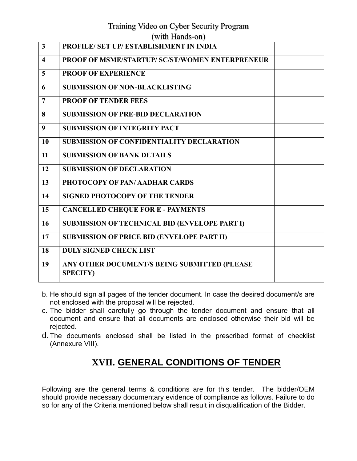#### (with Hands-on)

| $\overline{\mathbf{3}}$ | PROFILE/ SET UP/ ESTABLISHMENT IN INDIA                         |  |
|-------------------------|-----------------------------------------------------------------|--|
| $\overline{\mathbf{4}}$ | <b>PROOF OF MSME/STARTUP/ SC/ST/WOMEN ENTERPRENEUR</b>          |  |
| 5                       | <b>PROOF OF EXPERIENCE</b>                                      |  |
| 6                       | <b>SUBMISSION OF NON-BLACKLISTING</b>                           |  |
| $\overline{7}$          | <b>PROOF OF TENDER FEES</b>                                     |  |
| 8                       | <b>SUBMISSION OF PRE-BID DECLARATION</b>                        |  |
| 9                       | <b>SUBMISSION OF INTEGRITY PACT</b>                             |  |
| 10                      | <b>SUBMISSION OF CONFIDENTIALITY DECLARATION</b>                |  |
| 11                      | <b>SUBMISSION OF BANK DETAILS</b>                               |  |
| 12                      | <b>SUBMISSION OF DECLARATION</b>                                |  |
| 13                      | PHOTOCOPY OF PAN/AADHAR CARDS                                   |  |
| 14                      | <b>SIGNED PHOTOCOPY OF THE TENDER</b>                           |  |
| 15                      | <b>CANCELLED CHEQUE FOR E - PAYMENTS</b>                        |  |
| 16                      | <b>SUBMISSION OF TECHNICAL BID (ENVELOPE PART I)</b>            |  |
| 17                      | <b>SUBMISSION OF PRICE BID (ENVELOPE PART II)</b>               |  |
| 18                      | <b>DULY SIGNED CHECK LIST</b>                                   |  |
| 19                      | ANY OTHER DOCUMENT/S BEING SUBMITTED (PLEASE<br><b>SPECIFY)</b> |  |

- b. He should sign all pages of the tender document. In case the desired document/s are not enclosed with the proposal will be rejected.
- c. The bidder shall carefully go through the tender document and ensure that all document and ensure that all documents are enclosed otherwise their bid will be rejected.
- d. The documents enclosed shall be listed in the prescribed format of checklist (Annexure VIII).

## **XVII. GENERAL CONDITIONS OF TENDER**

Following are the general terms & conditions are for this tender. The bidder/OEM should provide necessary documentary evidence of compliance as follows. Failure to do so for any of the Criteria mentioned below shall result in disqualification of the Bidder.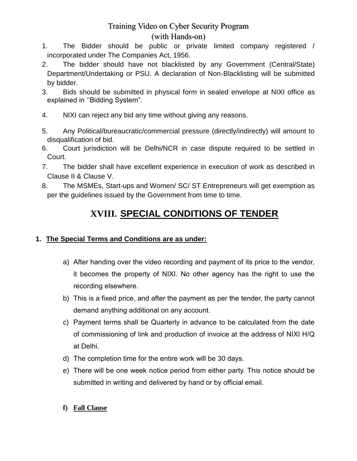#### (with Hands-on)

- 1. The Bidder should be public or private limited company registered / incorporated under The Companies Act, 1956.
- 2. The bidder should have not blacklisted by any Government (Central/State) Department/Undertaking or PSU. A declaration of Non-Blacklisting will be submitted by bidder.
- 3. Bids should be submitted in physical form in sealed envelope at NIXI office as explained in "Bidding System".
- 4. NIXI can reject any bid any time without giving any reasons.
- 5. Any Political/bureaucratic/commercial pressure (directly/indirectly) will amount to disqualification of bid.
- 6. Court jurisdiction will be Delhi/NCR in case dispute required to be settled in Court.
- 7. The bidder shall have excellent experience in execution of work as described in Clause II & Clause V.
- 8. The MSMEs, Start-ups and Women/ SC/ ST Entrepreneurs will get exemption as per the guidelines issued by the Government from time to time.

# **XVIII. SPECIAL CONDITIONS OF TENDER**

#### **1. The Special Terms and Conditions are as under:**

- a) After handing over the video recording and payment of its price to the vendor, it becomes the property of NIXI. No other agency has the right to use the recording elsewhere.
- b) This is a fixed price, and after the payment as per the tender, the party cannot demand anything additional on any account.
- c) Payment terms shall be Quarterly in advance to be calculated from the date of commissioning of link and production of invoice at the address of NIXI H/Q at Delhi.
- d) The completion time for the entire work will be 30 days.
- e) There will be one week notice period from either party. This notice should be submitted in writing and delivered by hand or by official email.
- **f) Fall Clause**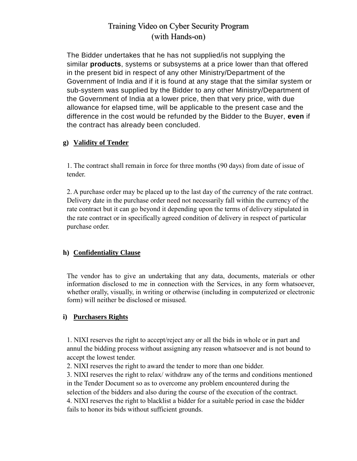The Bidder undertakes that he has not supplied/is not supplying the similar **products**, systems or subsystems at a price lower than that offered in the present bid in respect of any other Ministry/Department of the Government of India and if it is found at any stage that the similar system or sub-system was supplied by the Bidder to any other Ministry/Department of the Government of India at a lower price, then that very price, with due allowance for elapsed time, will be applicable to the present case and the difference in the cost would be refunded by the Bidder to the Buyer, **even** if the contract has already been concluded.

#### **g) Validity of Tender**

1. The contract shall remain in force for three months (90 days) from date of issue of tender.

2. A purchase order may be placed up to the last day of the currency of the rate contract. Delivery date in the purchase order need not necessarily fall within the currency of the rate contract but it can go beyond it depending upon the terms of delivery stipulated in the rate contract or in specifically agreed condition of delivery in respect of particular purchase order.

#### **h) Confidentiality Clause**

The vendor has to give an undertaking that any data, documents, materials or other information disclosed to me in connection with the Services, in any form whatsoever, whether orally, visually, in writing or otherwise (including in computerized or electronic form) will neither be disclosed or misused.

#### **i) Purchasers Rights**

1. NIXI reserves the right to accept/reject any or all the bids in whole or in part and annul the bidding process without assigning any reason whatsoever and is not bound to accept the lowest tender.

2. NIXI reserves the right to award the tender to more than one bidder.

3. NIXI reserves the right to relax/ withdraw any of the terms and conditions mentioned in the Tender Document so as to overcome any problem encountered during the selection of the bidders and also during the course of the execution of the contract. 4. NIXI reserves the right to blacklist a bidder for a suitable period in case the bidder fails to honor its bids without sufficient grounds.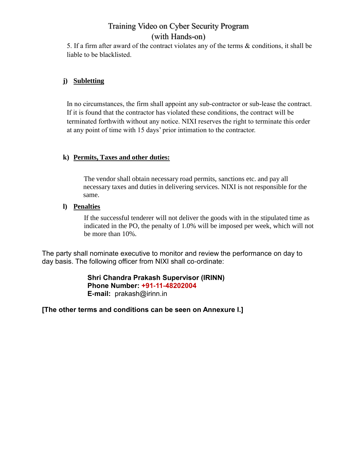5. If a firm after award of the contract violates any of the terms & conditions, it shall be liable to be blacklisted.

#### **j) Subletting**

In no circumstances, the firm shall appoint any sub-contractor or sub-lease the contract. If it is found that the contractor has violated these conditions, the contract will be terminated forthwith without any notice. NIXI reserves the right to terminate this order at any point of time with 15 days' prior intimation to the contractor.

#### **k) Permits, Taxes and other duties:**

The vendor shall obtain necessary road permits, sanctions etc. and pay all necessary taxes and duties in delivering services. NIXI is not responsible for the same.

#### **l) Penalties**

If the successful tenderer will not deliver the goods with in the stipulated time as indicated in the PO, the penalty of 1.0% will be imposed per week, which will not be more than 10%.

The party shall nominate executive to monitor and review the performance on day to day basis. The following officer from NIXI shall co-ordinate:

> **Shri Chandra Prakash Supervisor (IRINN) Phone Number: +91-11-48202004 E-mail:** prakash@irinn.in

**[The other terms and conditions can be seen on Annexure I.]**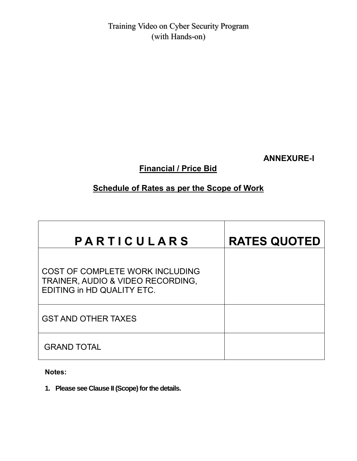**ANNEXURE-I** 

**Financial / Price Bid**

## **Schedule of Rates as per the Scope of Work**

| PARTICULARS                                                                                        | <b>RATES QUOTED</b> |
|----------------------------------------------------------------------------------------------------|---------------------|
| COST OF COMPLETE WORK INCLUDING<br>TRAINER, AUDIO & VIDEO RECORDING,<br>EDITING in HD QUALITY ETC. |                     |
| <b>GST AND OTHER TAXES</b>                                                                         |                     |
| <b>GRAND TOTAL</b>                                                                                 |                     |

**Notes:**

**1. Please see Clause II (Scope) for the details.**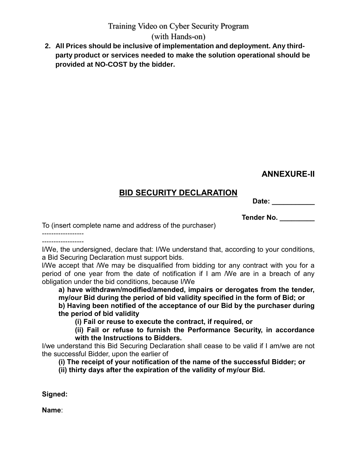### (with Hands-on)

**2. All Prices should be inclusive of implementation and deployment. Any thirdparty product or services needed to make the solution operational should be provided at NO-COST by the bidder.**

## **ANNEXURE-II**

## **BID SECURITY DECLARATION**

**Date: \_\_\_\_\_\_\_\_\_\_\_**

**Tender No. \_\_\_\_\_\_\_\_\_** 

To (insert complete name and address of the purchaser)

------------------ ------------------

I/We, the undersigned, declare that: I/We understand that, according to your conditions, a Bid Securing Declaration must support bids.

l/We accept that /We may be disqualified from bidding tor any contract with you for a period of one year from the date of notification if I am /We are in a breach of any obligation under the bid conditions, because I/We

**a) have withdrawn/modified/amended, impairs or derogates from the tender, my/our Bid during the period of bid validity specified in the form of Bid; or** 

**b) Having been notified of the acceptance of our Bid by the purchaser during the period of bid validity** 

**(i) Fail or reuse to execute the contract, if required, or** 

**(ii) Fail or refuse to furnish the Performance Security, in accordance with the Instructions to Bidders.** 

I/we understand this Bid Securing Declaration shall cease to be valid if I am/we are not the successful Bidder, upon the earlier of

**(i) The receipt of your notification of the name of the successful Bidder; or** 

**(ii) thirty days after the expiration of the validity of my/our Bid.** 

**Signed:**

**Name**: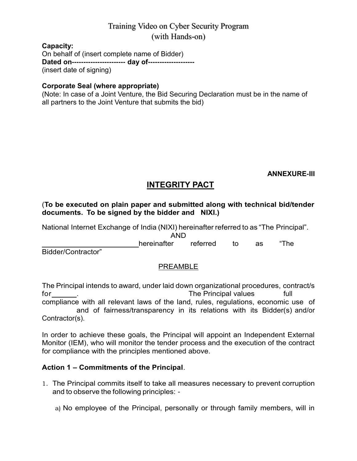**Capacity:**

On behalf of (insert complete name of Bidder) **Dated on----------------------- day of--------------------** (insert date of signing)

#### **Corporate Seal (where appropriate)**

(Note: In case of a Joint Venture, the Bid Securing Declaration must be in the name of all partners to the Joint Venture that submits the bid)

**ANNEXURE-III**

## **INTEGRITY PACT**

#### (**To be executed on plain paper and submitted along with technical bid/tender documents. To be signed by the bidder and NIXI.)**

National Internet Exchange of India (NIXI) hereinafter referred to as "The Principal". AND hereinafter referred to as "The Bidder/Contractor"

#### PREAMBLE

The Principal intends to award, under laid down organizational procedures, contract/s for the Principal values full the Principal values full the Principal values full the state of the state of the  $\sim$  full the Principal values full the state of the state of the state of the state of the state of the state compliance with all relevant laws of the land, rules, regulations, economic use of and of fairness/transparency in its relations with its Bidder(s) and/or Contractor(s).

In order to achieve these goals, the Principal will appoint an Independent External Monitor (IEM), who will monitor the tender process and the execution of the contract for compliance with the principles mentioned above.

#### **Action 1 – Commitments of the Principal**.

1. The Principal commits itself to take all measures necessary to prevent corruption and to observe the following principles: -

a) No employee of the Principal, personally or through family members, will in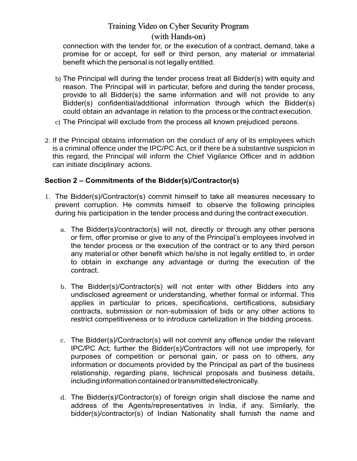#### (with Hands-on)

connection with the tender for, or the execution of a contract, demand, take a promise for or accept, for self or third person, any material or immaterial benefit which the personal is not legally entitled.

- b) The Principal will during the tender process treat all Bidder(s) with equity and reason. The Principal will in particular, before and during the tender process, provide to all Bidder(s) the same information and will not provide to any Bidder(s) confidential/additional information through which the Bidder(s) could obtain an advantage in relation to the process or the contract execution.
- c) The Principal will exclude from the process all known prejudiced persons.
- 2. If the Principal obtains information on the conduct of any of its employees which is a criminal offence under the IPC/PC Act, or if there be a substantive suspicion in this regard, the Principal will inform the Chief Vigilance Officer and in addition can initiate disciplinary actions.

#### **Section 2 – Commitments of the Bidder(s)/Contractor(s)**

- 1. The Bidder(s)/Contractor(s) commit himself to take all measures necessary to prevent corruption. He commits himself to observe the following principles during his participation in the tender process and during the contract execution.
	- a. The Bidder(s)/contractor(s) will not, directly or through any other persons or firm, offer promise or give to any of the Principal"s employees involved in the tender process or the execution of the contract or to any third person any material or other benefit which he/she is not legally entitled to, in order to obtain in exchange any advantage or during the execution of the contract.
	- b. The Bidder(s)/Contractor(s) will not enter with other Bidders into any undisclosed agreement or understanding, whether formal or informal. This applies in particular to prices, specifications, certifications, subsidiary contracts, submission or non-submission of bids or any other actions to restrict competitiveness or to introduce cartelization in the bidding process.
	- c. The Bidder(s)/Contractor(s) will not commit any offence under the relevant IPC/PC Act; further the Bidder(s)/Contractors will not use improperly, for purposes of competition or personal gain, or pass on to others, any information or documents provided by the Principal as part of the business relationship, regarding plans, technical proposals and business details, including information contained or transmitted electronically.
	- d. The Bidder(s)/Contractor(s) of foreign origin shall disclose the name and address of the Agents/representatives in India, if any. Similarly, the bidder(s)/contractor(s) of Indian Nationality shall furnish the name and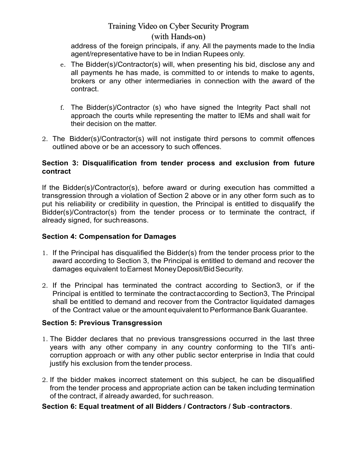#### (with Hands-on)

address of the foreign principals, if any. All the payments made to the India agent/representative have to be in Indian Rupees only.

- e. The Bidder(s)/Contractor(s) will, when presenting his bid, disclose any and all payments he has made, is committed to or intends to make to agents, brokers or any other intermediaries in connection with the award of the contract.
- f. The Bidder(s)/Contractor (s) who have signed the Integrity Pact shall not approach the courts while representing the matter to IEMs and shall wait for their decision on the matter.
- 2. The Bidder(s)/Contractor(s) will not instigate third persons to commit offences outlined above or be an accessory to such offences.

#### **Section 3: Disqualification from tender process and exclusion from future contract**

If the Bidder(s)/Contractor(s), before award or during execution has committed a transgression through a violation of Section 2 above or in any other form such as to put his reliability or credibility in question, the Principal is entitled to disqualify the Bidder(s)/Contractor(s) from the tender process or to terminate the contract, if already signed, for suchreasons.

#### **Section 4: Compensation for Damages**

- 1. If the Principal has disqualified the Bidder(s) from the tender process prior to the award according to Section 3, the Principal is entitled to demand and recover the damages equivalent toEarnest MoneyDeposit/BidSecurity.
- 2. If the Principal has terminated the contract according to Section3, or if the Principal is entitled to terminate the contractaccording to Section3, The Principal shall be entitled to demand and recover from the Contractor liquidated damages of the Contract value or the amount equivalent to Performance Bank Guarantee.

#### **Section 5: Previous Transgression**

- 1. The Bidder declares that no previous transgressions occurred in the last three years with any other company in any country conforming to the TII"s anticorruption approach or with any other public sector enterprise in India that could justify his exclusion from the tender process.
- 2. If the bidder makes incorrect statement on this subject, he can be disqualified from the tender process and appropriate action can be taken including termination of the contract, if already awarded, for suchreason.

#### **Section 6: Equal treatment of all Bidders / Contractors / Sub -contractors**.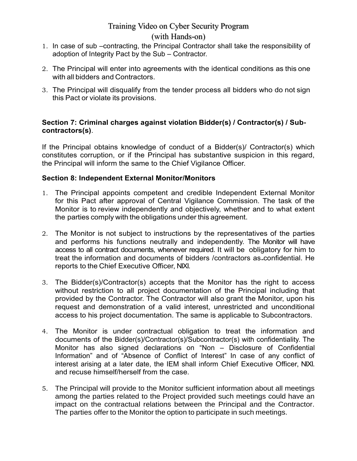#### (with Hands-on)

- 1. In case of sub –contracting, the Principal Contractor shall take the responsibility of adoption of Integrity Pact by the Sub – Contractor.
- 2. The Principal will enter into agreements with the identical conditions as this one with all bidders and Contractors.
- 3. The Principal will disqualify from the tender process all bidders who do not sign this Pact or violate its provisions.

#### **Section 7: Criminal charges against violation Bidder(s) / Contractor(s) / Subcontractors(s)**.

If the Principal obtains knowledge of conduct of a Bidder(s)/ Contractor(s) which constitutes corruption, or if the Principal has substantive suspicion in this regard, the Principal will inform the same to the Chief Vigilance Officer.

#### **Section 8: Independent External Monitor/Monitors**

- 1. The Principal appoints competent and credible Independent External Monitor for this Pact after approval of Central Vigilance Commission. The task of the Monitor is to review independently and objectively, whether and to what extent the parties comply with the obligations under this agreement.
- 2. The Monitor is not subject to instructions by the representatives of the parties and performs his functions neutrally and independently. The Monitor will have access to all contract documents, whenever required. It will be obligatory for him to treat the information and documents of bidders /contractors as confidential. He reports to the Chief Executive Officer, NIXI.
- 3. The Bidder(s)/Contractor(s) accepts that the Monitor has the right to access without restriction to all project documentation of the Principal including that provided by the Contractor. The Contractor will also grant the Monitor, upon his request and demonstration of a valid interest, unrestricted and unconditional access to his project documentation. The same is applicable to Subcontractors.
- 4. The Monitor is under contractual obligation to treat the information and documents of the Bidder(s)/Contractor(s)/Subcontractor(s) with confidentiality. The Monitor has also signed declarations on "Non – Disclosure of Confidential Information" and of "Absence of Conflict of Interest" In case of any conflict of interest arising at a later date, the IEM shall inform Chief Executive Officer, NIXI. and recuse himself/herself from the case.
- 5. The Principal will provide to the Monitor sufficient information about all meetings among the parties related to the Project provided such meetings could have an impact on the contractual relations between the Principal and the Contractor. The parties offer to the Monitor the option to participate in such meetings.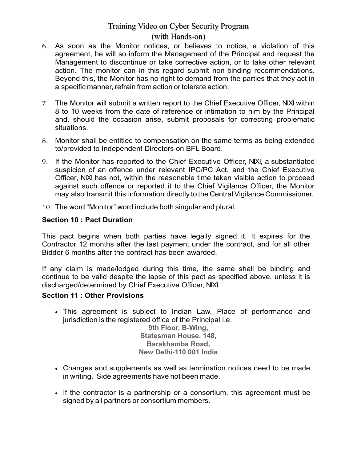#### (with Hands-on)

- 6. As soon as the Monitor notices, or believes to notice, a violation of this agreement, he will so inform the Management of the Principal and request the Management to discontinue or take corrective action, or to take other relevant action. The monitor can in this regard submit non-binding recommendations. Beyond this, the Monitor has no right to demand from the parties that they act in a specific manner, refrain from action or tolerate action.
- 7. The Monitor will submit a written report to the Chief Executive Officer, NIXI within 8 to 10 weeks from the date of reference or intimation to him by the Principal and, should the occasion arise, submit proposals for correcting problematic situations.
- 8. Monitor shall be entitled to compensation on the same terms as being extended to/provided to Independent Directors on BFL Board.
- 9. If the Monitor has reported to the Chief Executive Officer, NIXI, a substantiated suspicion of an offence under relevant IPC/PC Act, and the Chief Executive Officer, NIXI has not, within the reasonable time taken visible action to proceed against such offence or reported it to the Chief Vigilance Officer, the Monitor may also transmit this information directly to the Central Vigilance Commissioner.
- 10. The word "Monitor" word include both singular and plural.

#### **Section 10 : Pact Duration**

This pact begins when both parties have legally signed it. It expires for the Contractor 12 months after the last payment under the contract, and for all other Bidder 6 months after the contract has been awarded.

If any claim is made/lodged during this time, the same shall be binding and continue to be valid despite the lapse of this pact as specified above, unless it is discharged/determined by Chief Executive Officer, NIXI.

#### **Section 11 : Other Provisions**

 This agreement is subject to Indian Law. Place of performance and jurisdiction is the registered office of the Principal i.e.

**9th Floor, B-Wing, Statesman House, 148, Barakhamba Road, New Delhi-110 001 India**

- Changes and supplements as well as termination notices need to be made in writing. Side agreements have not been made.
- If the contractor is a partnership or a consortium, this agreement must be signed by all partners or consortium members.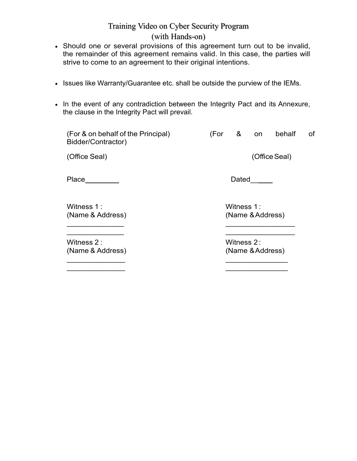### (with Hands-on)

- Should one or several provisions of this agreement turn out to be invalid, the remainder of this agreement remains valid. In this case, the parties will strive to come to an agreement to their original intentions.
- Issues like Warranty/Guarantee etc. shall be outside the purview of the IEMs.
- In the event of any contradiction between the Integrity Pact and its Annexure, the clause in the Integrity Pact will prevail.

| (For & on behalf of the Principal)<br>Bidder/Contractor) | &<br>(For<br>behalf<br>of<br>on |
|----------------------------------------------------------|---------------------------------|
| (Office Seal)                                            | (Office Seal)                   |
| Place                                                    | Dated                           |
| Witness 1 :<br>(Name & Address)                          | Witness 1:<br>(Name & Address)  |
| Witness 2:<br>(Name & Address)                           | Witness 2:<br>(Name & Address)  |

 $\mathcal{L}_\text{max}$  , and the contract of the contract of the contract of the contract of the contract of the contract of  $\mathcal{L}_\text{max}$  , and the contract of the contract of the contract of the contract of the contract of the contract of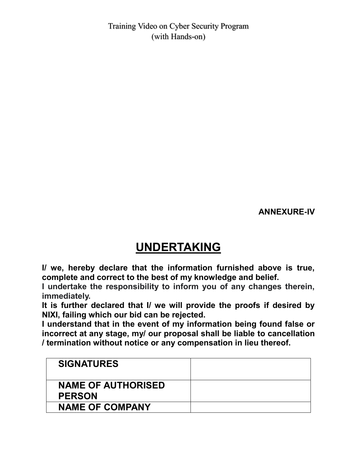**ANNEXURE-IV**

# **UNDERTAKING**

**I/ we, hereby declare that the information furnished above is true, complete and correct to the best of my knowledge and belief.**

**I undertake the responsibility to inform you of any changes therein, immediately.**

**It is further declared that I/ we will provide the proofs if desired by NIXI, failing which our bid can be rejected.**

**I understand that in the event of my information being found false or incorrect at any stage, my/ our proposal shall be liable to cancellation / termination without notice or any compensation in lieu thereof.**

| <b>SIGNATURES</b>                          |  |
|--------------------------------------------|--|
| <b>NAME OF AUTHORISED</b><br><b>PERSON</b> |  |
| <b>NAME OF COMPANY</b>                     |  |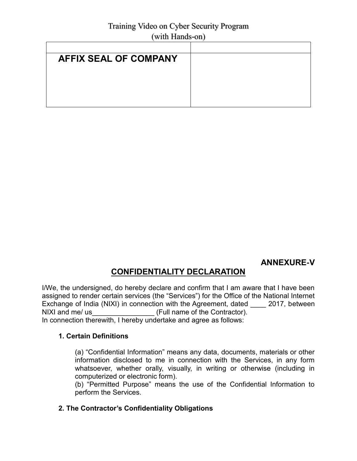| $\cdots$                     |  |  |
|------------------------------|--|--|
|                              |  |  |
| <b>AFFIX SEAL OF COMPANY</b> |  |  |
|                              |  |  |
|                              |  |  |
|                              |  |  |
|                              |  |  |

## **ANNEXURE-V**

## **CONFIDENTIALITY DECLARATION**

I/We, the undersigned, do hereby declare and confirm that I am aware that I have been assigned to render certain services (the "Services") for the Office of the National Internet Exchange of India (NIXI) in connection with the Agreement, dated \_\_\_\_ 2017, between NIXI and me/ us **EXECUTE:** (Full name of the Contractor). In connection therewith, I hereby undertake and agree as follows:

#### **1. Certain Definitions**

(a) "Confidential Information" means any data, documents, materials or other information disclosed to me in connection with the Services, in any form whatsoever, whether orally, visually, in writing or otherwise (including in computerized or electronic form).

(b) "Permitted Purpose" means the use of the Confidential Information to perform the Services.

#### **2. The Contractor"s Confidentiality Obligations**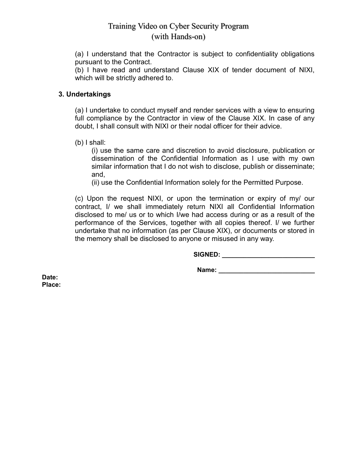(a) I understand that the Contractor is subject to confidentiality obligations pursuant to the Contract.

(b) I have read and understand Clause XIX of tender document of NIXI, which will be strictly adhered to.

#### **3. Undertakings**

(a) I undertake to conduct myself and render services with a view to ensuring full compliance by the Contractor in view of the Clause XIX. In case of any doubt, I shall consult with NIXI or their nodal officer for their advice.

(b) I shall:

(i) use the same care and discretion to avoid disclosure, publication or dissemination of the Confidential Information as I use with my own similar information that I do not wish to disclose, publish or disseminate; and,

(ii) use the Confidential Information solely for the Permitted Purpose.

(c) Upon the request NIXI, or upon the termination or expiry of my/ our contract, I/ we shall immediately return NIXI all Confidential Information disclosed to me/ us or to which I/we had access during or as a result of the performance of the Services, together with all copies thereof. I/ we further undertake that no information (as per Clause XIX), or documents or stored in the memory shall be disclosed to anyone or misused in any way.

**SIGNED: \_\_\_\_\_\_\_\_\_\_\_\_\_\_\_\_\_\_\_\_\_\_\_\_\_\_**

**Name:**  $\blacksquare$ 

**Date: Place:**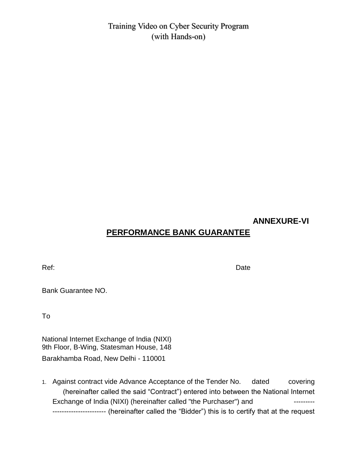#### **ANNEXURE-VI**

## **PERFORMANCE BANK GUARANTEE**

Ref: Date Date Communication of the Communication of the Date Date

Bank Guarantee NO.

To

National Internet Exchange of India (NIXI) 9th Floor, B-Wing, Statesman House, 148 Barakhamba Road, New Delhi - 110001

1. Against contract vide Advance Acceptance of the Tender No. dated covering (hereinafter called the said "Contract") entered into between the National Internet Exchange of India (NIXI) (hereinafter called "the Purchaser") and --------------------------------- (hereinafter called the "Bidder") this is to certify that at the request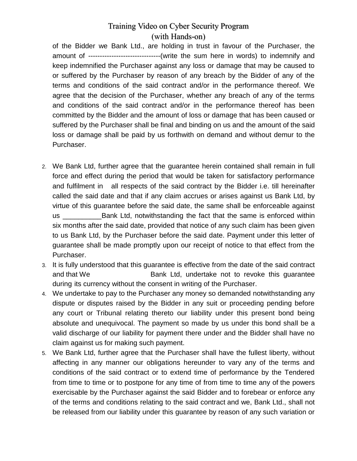of the Bidder we Bank Ltd., are holding in trust in favour of the Purchaser, the amount of -------------------------------(write the sum here in words) to indemnify and keep indemnified the Purchaser against any loss or damage that may be caused to or suffered by the Purchaser by reason of any breach by the Bidder of any of the terms and conditions of the said contract and/or in the performance thereof. We agree that the decision of the Purchaser, whether any breach of any of the terms and conditions of the said contract and/or in the performance thereof has been committed by the Bidder and the amount of loss or damage that has been caused or suffered by the Purchaser shall be final and binding on us and the amount of the said loss or damage shall be paid by us forthwith on demand and without demur to the Purchaser.

- 2. We Bank Ltd, further agree that the guarantee herein contained shall remain in full force and effect during the period that would be taken for satisfactory performance and fulfilment in all respects of the said contract by the Bidder i.e. till hereinafter called the said date and that if any claim accrues or arises against us Bank Ltd, by virtue of this guarantee before the said date, the same shall be enforceable against us \_\_\_\_\_\_\_\_\_\_Bank Ltd, notwithstanding the fact that the same is enforced within six months after the said date, provided that notice of any such claim has been given to us Bank Ltd, by the Purchaser before the said date. Payment under this letter of guarantee shall be made promptly upon our receipt of notice to that effect from the Purchaser.
- 3. It is fully understood that this guarantee is effective from the date of the said contract and that We **Bank Ltd, undertake not to revoke this quarantee** during its currency without the consent in writing of the Purchaser.
- 4. We undertake to pay to the Purchaser any money so demanded notwithstanding any dispute or disputes raised by the Bidder in any suit or proceeding pending before any court or Tribunal relating thereto our liability under this present bond being absolute and unequivocal. The payment so made by us under this bond shall be a valid discharge of our liability for payment there under and the Bidder shall have no claim against us for making such payment.
- 5. We Bank Ltd, further agree that the Purchaser shall have the fullest liberty, without affecting in any manner our obligations hereunder to vary any of the terms and conditions of the said contract or to extend time of performance by the Tendered from time to time or to postpone for any time of from time to time any of the powers exercisable by the Purchaser against the said Bidder and to forebear or enforce any of the terms and conditions relating to the said contract and we, Bank Ltd., shall not be released from our liability under this guarantee by reason of any such variation or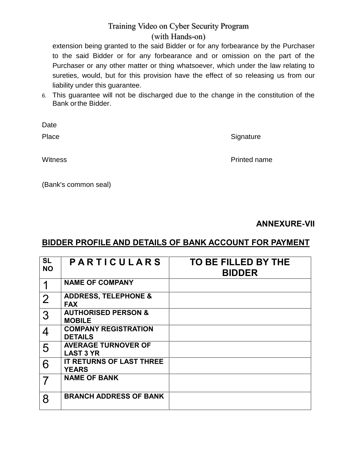extension being granted to the said Bidder or for any forbearance by the Purchaser to the said Bidder or for any forbearance and or omission on the part of the Purchaser or any other matter or thing whatsoever, which under the law relating to sureties, would, but for this provision have the effect of so releasing us from our liability under this guarantee.

6. This guarantee will not be discharged due to the change in the constitution of the Bank orthe Bidder.

Date

Place Signature Signature

Witness **Printed name** 

(Bank's common seal)

**ANNEXURE-VII**

## **BIDDER PROFILE AND DETAILS OF BANK ACCOUNT FOR PAYMENT**

| <b>SL</b><br><b>NO</b> | <b>PARTICULARS</b>                              | TO BE FILLED BY THE<br><b>BIDDER</b> |
|------------------------|-------------------------------------------------|--------------------------------------|
| 1                      | <b>NAME OF COMPANY</b>                          |                                      |
| $\overline{2}$         | <b>ADDRESS, TELEPHONE &amp;</b><br><b>FAX</b>   |                                      |
| 3                      | <b>AUTHORISED PERSON &amp;</b><br><b>MOBILE</b> |                                      |
| 4                      | <b>COMPANY REGISTRATION</b><br><b>DETAILS</b>   |                                      |
| 5                      | <b>AVERAGE TURNOVER OF</b><br><b>LAST 3 YR</b>  |                                      |
| 6                      | IT RETURNS OF LAST THREE<br><b>YEARS</b>        |                                      |
|                        | <b>NAME OF BANK</b>                             |                                      |
| 8                      | <b>BRANCH ADDRESS OF BANK</b>                   |                                      |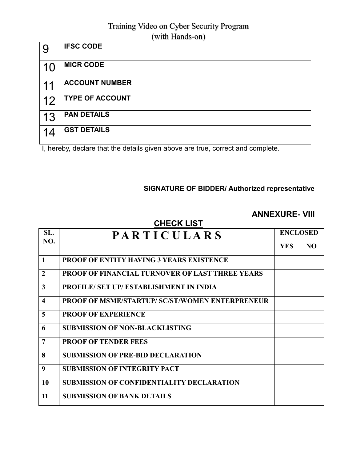| 9  | <b>IFSC CODE</b>       |  |
|----|------------------------|--|
| 10 | <b>MICR CODE</b>       |  |
| 11 | <b>ACCOUNT NUMBER</b>  |  |
| 12 | <b>TYPE OF ACCOUNT</b> |  |
| 13 | <b>PAN DETAILS</b>     |  |
| 14 | <b>GST DETAILS</b>     |  |

I, hereby, declare that the details given above are true, correct and complete.

#### **SIGNATURE OF BIDDER/ Authorized representative**

## **ANNEXURE- VIII**

| <b>CHECK LIST</b>       |                                                        |            |                 |  |
|-------------------------|--------------------------------------------------------|------------|-----------------|--|
| SL.                     | <b>PARTICULARS</b>                                     |            | <b>ENCLOSED</b> |  |
|                         | NO.                                                    | <b>YES</b> | N <sub>O</sub>  |  |
| $\mathbf{1}$            | <b>PROOF OF ENTITY HAVING 3 YEARS EXISTENCE</b>        |            |                 |  |
| $\overline{2}$          | <b>PROOF OF FINANCIAL TURNOVER OF LAST THREE YEARS</b> |            |                 |  |
| 3                       | <b>PROFILE/ SET UP/ ESTABLISHMENT IN INDIA</b>         |            |                 |  |
| $\overline{\mathbf{4}}$ | <b>PROOF OF MSME/STARTUP/ SC/ST/WOMEN ENTERPRENEUR</b> |            |                 |  |
| 5                       | <b>PROOF OF EXPERIENCE</b>                             |            |                 |  |
| 6                       | <b>SUBMISSION OF NON-BLACKLISTING</b>                  |            |                 |  |
| 7                       | <b>PROOF OF TENDER FEES</b>                            |            |                 |  |
| 8                       | <b>SUBMISSION OF PRE-BID DECLARATION</b>               |            |                 |  |
| 9                       | <b>SUBMISSION OF INTEGRITY PACT</b>                    |            |                 |  |
| 10                      | <b>SUBMISSION OF CONFIDENTIALITY DECLARATION</b>       |            |                 |  |
| 11                      | <b>SUBMISSION OF BANK DETAILS</b>                      |            |                 |  |